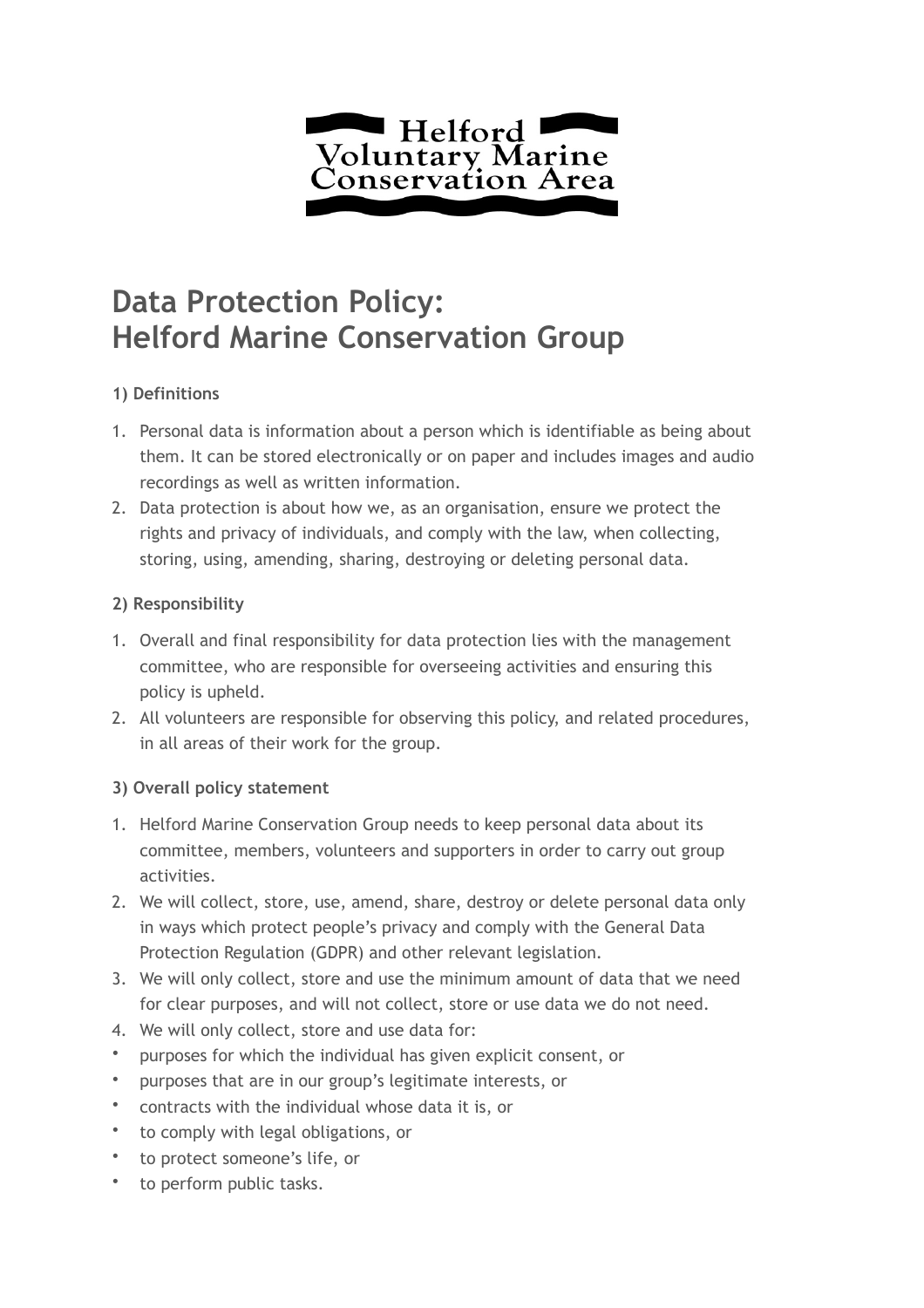

# **Data Protection Policy: Helford Marine Conservation Group**

## **1) Definitions**

- 1. Personal data is information about a person which is identifiable as being about them. It can be stored electronically or on paper and includes images and audio recordings as well as written information.
- 2. Data protection is about how we, as an organisation, ensure we protect the rights and privacy of individuals, and comply with the law, when collecting, storing, using, amending, sharing, destroying or deleting personal data.

## **2) Responsibility**

- 1. Overall and final responsibility for data protection lies with the management committee, who are responsible for overseeing activities and ensuring this policy is upheld.
- 2. All volunteers are responsible for observing this policy, and related procedures, in all areas of their work for the group.

## **3) Overall policy statement**

- 1. Helford Marine Conservation Group needs to keep personal data about its committee, members, volunteers and supporters in order to carry out group activities.
- 2. We will collect, store, use, amend, share, destroy or delete personal data only in ways which protect people's privacy and comply with the General Data Protection Regulation (GDPR) and other relevant legislation.
- 3. We will only collect, store and use the minimum amount of data that we need for clear purposes, and will not collect, store or use data we do not need.
- 4. We will only collect, store and use data for:
- purposes for which the individual has given explicit consent, or
- purposes that are in our group's legitimate interests, or
- contracts with the individual whose data it is, or
- to comply with legal obligations, or
- to protect someone's life, or
- to perform public tasks.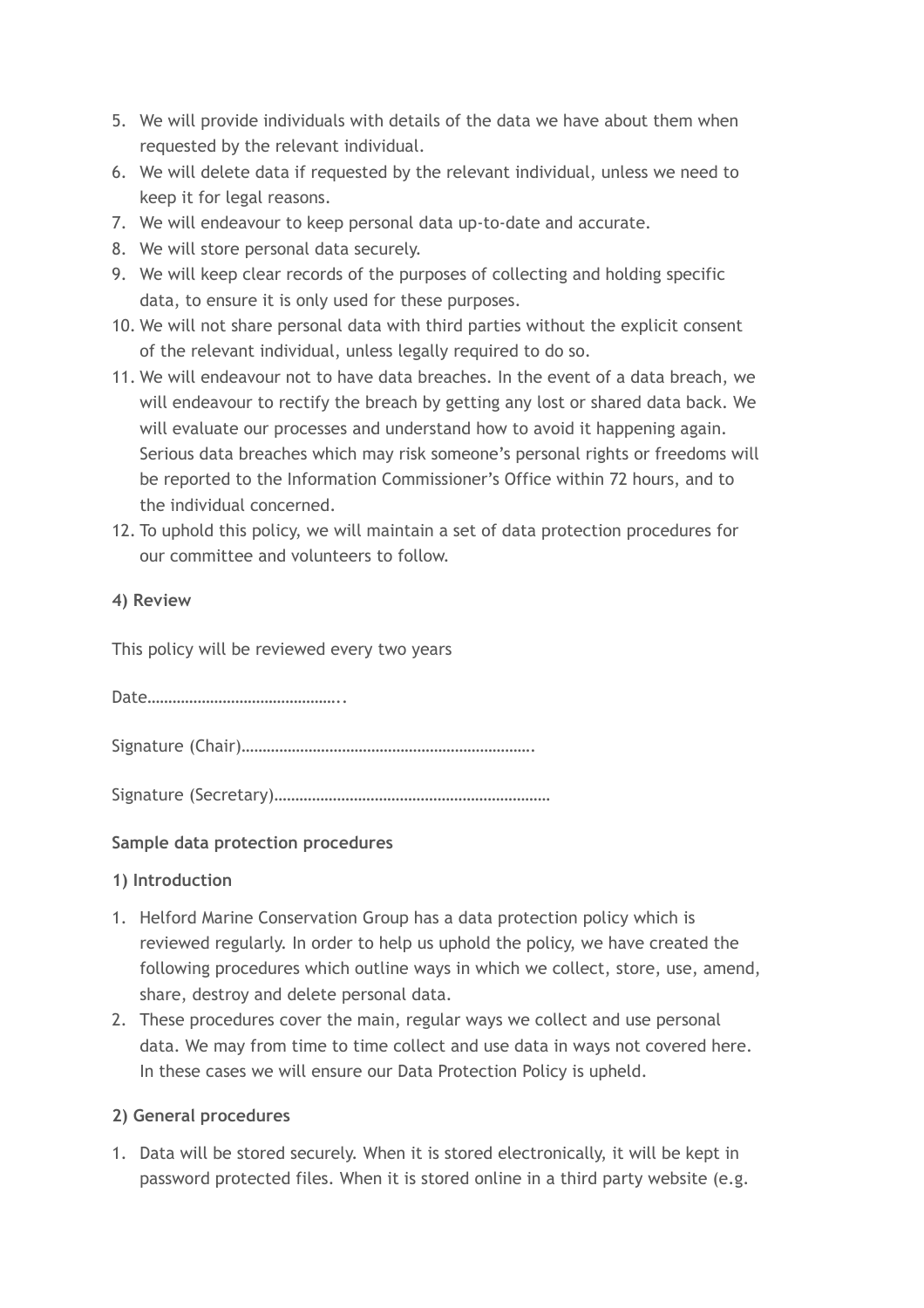- 5. We will provide individuals with details of the data we have about them when requested by the relevant individual.
- 6. We will delete data if requested by the relevant individual, unless we need to keep it for legal reasons.
- 7. We will endeavour to keep personal data up-to-date and accurate.
- 8. We will store personal data securely.
- 9. We will keep clear records of the purposes of collecting and holding specific data, to ensure it is only used for these purposes.
- 10. We will not share personal data with third parties without the explicit consent of the relevant individual, unless legally required to do so.
- 11. We will endeavour not to have data breaches. In the event of a data breach, we will endeavour to rectify the breach by getting any lost or shared data back. We will evaluate our processes and understand how to avoid it happening again. Serious data breaches which may risk someone's personal rights or freedoms will be reported to the Information Commissioner's Office within 72 hours, and to the individual concerned.
- 12. To uphold this policy, we will maintain a set of data protection procedures for our committee and volunteers to follow.

### **4) Review**

This policy will be reviewed every two years

Date………………………………………..

Signature (Chair)…………………………………………………………….

Signature (Secretary)…………………………………………………………

### **Sample data protection procedures**

#### **1) Introduction**

- 1. Helford Marine Conservation Group has a data protection policy which is reviewed regularly. In order to help us uphold the policy, we have created the following procedures which outline ways in which we collect, store, use, amend, share, destroy and delete personal data.
- 2. These procedures cover the main, regular ways we collect and use personal data. We may from time to time collect and use data in ways not covered here. In these cases we will ensure our Data Protection Policy is upheld.

### **2) General procedures**

1. Data will be stored securely. When it is stored electronically, it will be kept in password protected files. When it is stored online in a third party website (e.g.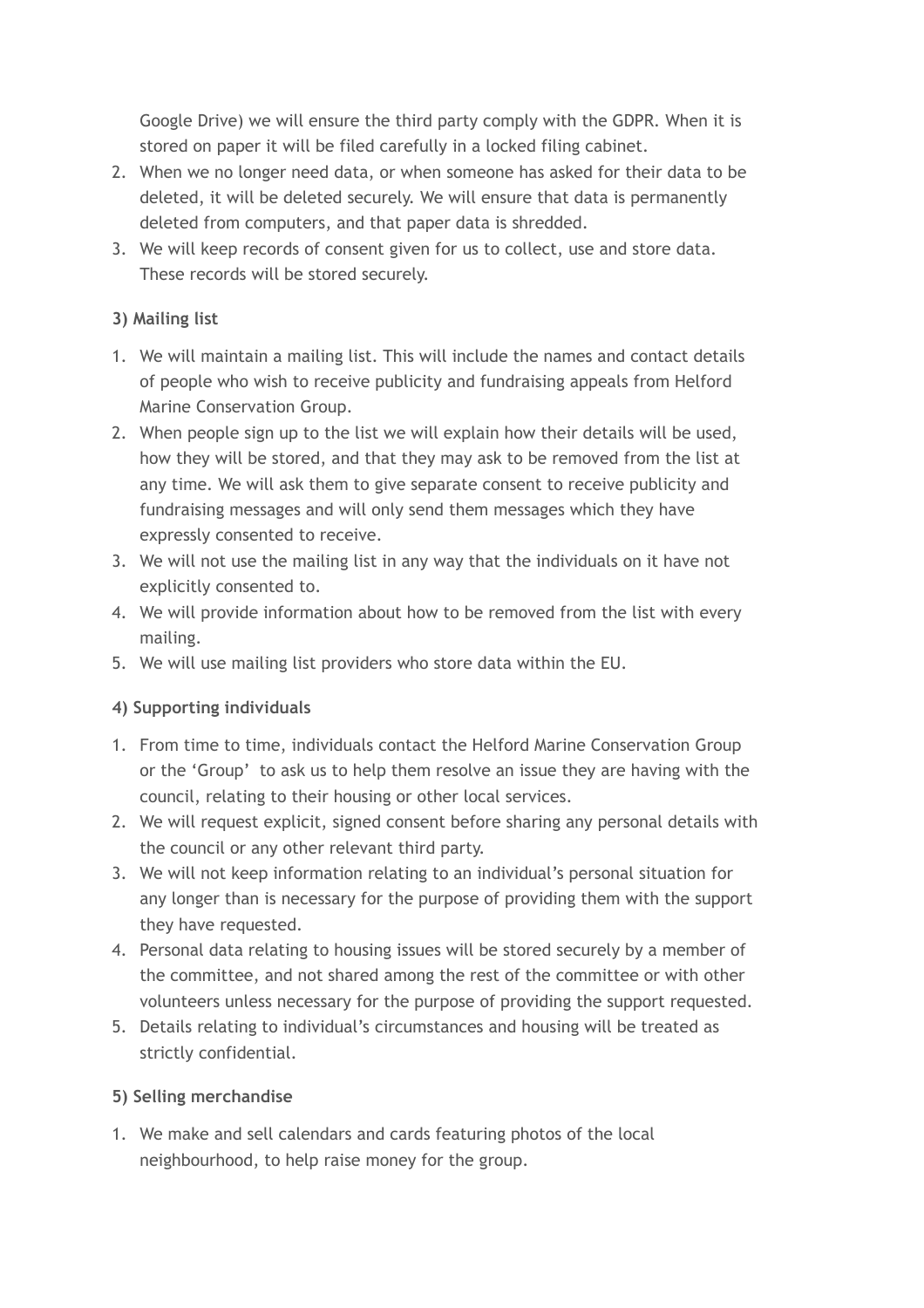Google Drive) we will ensure the third party comply with the GDPR. When it is stored on paper it will be filed carefully in a locked filing cabinet.

- 2. When we no longer need data, or when someone has asked for their data to be deleted, it will be deleted securely. We will ensure that data is permanently deleted from computers, and that paper data is shredded.
- 3. We will keep records of consent given for us to collect, use and store data. These records will be stored securely.

## **3) Mailing list**

- 1. We will maintain a mailing list. This will include the names and contact details of people who wish to receive publicity and fundraising appeals from Helford Marine Conservation Group.
- 2. When people sign up to the list we will explain how their details will be used, how they will be stored, and that they may ask to be removed from the list at any time. We will ask them to give separate consent to receive publicity and fundraising messages and will only send them messages which they have expressly consented to receive.
- 3. We will not use the mailing list in any way that the individuals on it have not explicitly consented to.
- 4. We will provide information about how to be removed from the list with every mailing.
- 5. We will use mailing list providers who store data within the EU.

## **4) Supporting individuals**

- 1. From time to time, individuals contact the Helford Marine Conservation Group or the 'Group' to ask us to help them resolve an issue they are having with the council, relating to their housing or other local services.
- 2. We will request explicit, signed consent before sharing any personal details with the council or any other relevant third party.
- 3. We will not keep information relating to an individual's personal situation for any longer than is necessary for the purpose of providing them with the support they have requested.
- 4. Personal data relating to housing issues will be stored securely by a member of the committee, and not shared among the rest of the committee or with other volunteers unless necessary for the purpose of providing the support requested.
- 5. Details relating to individual's circumstances and housing will be treated as strictly confidential.

### **5) Selling merchandise**

1. We make and sell calendars and cards featuring photos of the local neighbourhood, to help raise money for the group.